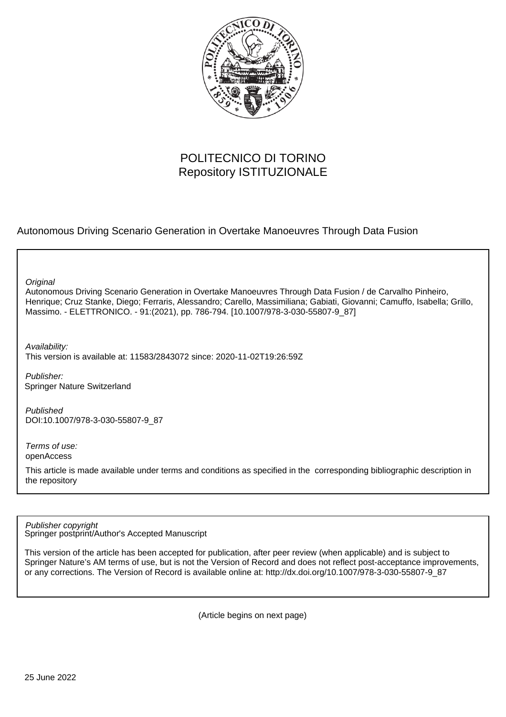

# POLITECNICO DI TORINO Repository ISTITUZIONALE

# Autonomous Driving Scenario Generation in Overtake Manoeuvres Through Data Fusion

**Original** 

Autonomous Driving Scenario Generation in Overtake Manoeuvres Through Data Fusion / de Carvalho Pinheiro, Henrique; Cruz Stanke, Diego; Ferraris, Alessandro; Carello, Massimiliana; Gabiati, Giovanni; Camuffo, Isabella; Grillo, Massimo. - ELETTRONICO. - 91:(2021), pp. 786-794. [10.1007/978-3-030-55807-9\_87]

Availability: This version is available at: 11583/2843072 since: 2020-11-02T19:26:59Z

Publisher: Springer Nature Switzerland

Published DOI:10.1007/978-3-030-55807-9\_87

Terms of use: openAccess

This article is made available under terms and conditions as specified in the corresponding bibliographic description in the repository

Springer postprint/Author's Accepted Manuscript Publisher copyright

This version of the article has been accepted for publication, after peer review (when applicable) and is subject to Springer Nature's AM terms of use, but is not the Version of Record and does not reflect post-acceptance improvements, or any corrections. The Version of Record is available online at: http://dx.doi.org/10.1007/978-3-030-55807-9\_87

(Article begins on next page)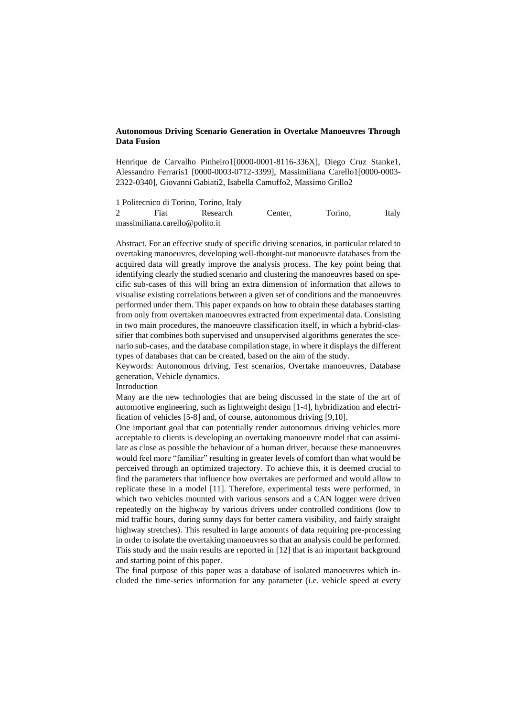## **Autonomous Driving Scenario Generation in Overtake Manoeuvres Through Data Fusion**

Henrique de Carvalho Pinheiro1[0000-0001-8116-336X], Diego Cruz Stanke1, Alessandro Ferraris1 [0000-0003-0712-3399], Massimiliana Carello1[0000-0003- 2322-0340], Giovanni Gabiati2, Isabella Camuffo2, Massimo Grillo2

1 Politecnico di Torino, Torino, Italy 2 Fiat Research Center, Torino, Italy [massimiliana.carello@polito.it](mailto:massimiliana.carello@polito.it)

Abstract. For an effective study of specific driving scenarios, in particular related to overtaking manoeuvres, developing well-thought-out manoeuvre databases from the acquired data will greatly improve the analysis process. The key point being that identifying clearly the studied scenario and clustering the manoeuvres based on specific sub-cases of this will bring an extra dimension of information that allows to visualise existing correlations between a given set of conditions and the manoeuvres performed under them. This paper expands on how to obtain these databases starting from only from overtaken manoeuvres extracted from experimental data. Consisting in two main procedures, the manoeuvre classification itself, in which a hybrid-classifier that combines both supervised and unsupervised algorithms generates the scenario sub-cases, and the database compilation stage, in where it displays the different types of databases that can be created, based on the aim of the study.

Keywords: Autonomous driving, Test scenarios, Overtake manoeuvres, Database generation, Vehicle dynamics.

Introduction

Many are the new technologies that are being discussed in the state of the art of automotive engineering, such as lightweight design [1-4], hybridization and electrification of vehicles [5-8] and, of course, autonomous driving [9,10].

One important goal that can potentially render autonomous driving vehicles more acceptable to clients is developing an overtaking manoeuvre model that can assimilate as close as possible the behaviour of a human driver, because these manoeuvres would feel more "familiar" resulting in greater levels of comfort than what would be perceived through an optimized trajectory. To achieve this, it is deemed crucial to find the parameters that influence how overtakes are performed and would allow to replicate these in a model [11]. Therefore, experimental tests were performed, in which two vehicles mounted with various sensors and a CAN logger were driven repeatedly on the highway by various drivers under controlled conditions (low to mid traffic hours, during sunny days for better camera visibility, and fairly straight highway stretches). This resulted in large amounts of data requiring pre-processing in order to isolate the overtaking manoeuvres so that an analysis could be performed. This study and the main results are reported in [12] that is an important background and starting point of this paper.

The final purpose of this paper was a database of isolated manoeuvres which included the time-series information for any parameter (i.e. vehicle speed at every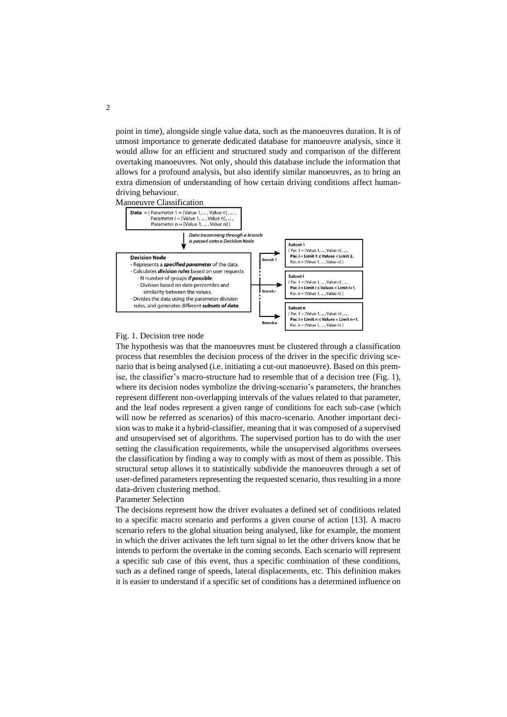point in time), alongside single value data, such as the manoeuvres duration. It is of utmost importance to generate dedicated database for manoeuvre analysis, since it would allow for an efficient and structured study and comparison of the different overtaking manoeuvres. Not only, should this database include the information that allows for a profound analysis, but also identify similar manoeuvres, as to bring an extra dimension of understanding of how certain driving conditions affect humandriving behaviour.





### <span id="page-2-0"></span>Fig. 1. Decision tree node

The hypothesis was that the manoeuvres must be clustered through a classification process that resembles the decision process of the driver in the specific driving scenario that is being analysed (i.e. initiating a cut-out manoeuvre). Based on this premise, the classifier's macro-structure had to resemble that of a decision tree (Fig. 1), where its decision nodes symbolize the driving-scenario's parameters, the branches represent different non-overlapping intervals of the values related to that parameter, and the leaf nodes represent a given range of conditions for each sub-case (which will now be referred as scenarios) of this macro-scenario. Another important decision was to make it a hybrid-classifier, meaning that it was composed of a supervised and unsupervised set of algorithms. The supervised portion has to do with the user setting the classification requirements, while the unsupervised algorithms oversees the classification by finding a way to comply with as most of them as possible. This structural setup allows it to statistically subdivide the manoeuvres through a set of user-defined parameters representing the requested scenario, thus resulting in a more data-driven clustering method.

#### Parameter Selection

The decisions represent how the driver evaluates a defined set of conditions related to a specific macro scenario and performs a given course of action [13]. A macro scenario refers to the global situation being analysed, like for example, the moment in which the driver activates the left turn signal to let the other drivers know that he intends to perform the overtake in the coming seconds. Each scenario will represent a specific sub case of this event, thus a specific combination of these conditions, such as a defined range of speeds, lateral displacements, etc. This definition makes it is easier to understand if a specific set of conditions has a determined influence on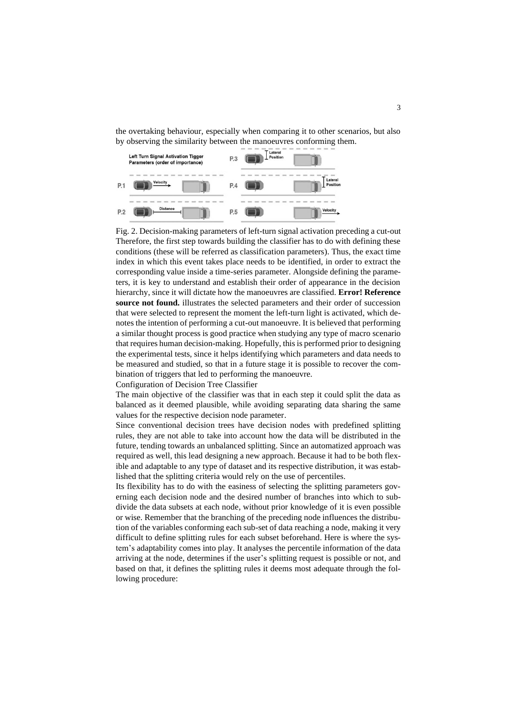the overtaking behaviour, especially when comparing it to other scenarios, but also by observing the similarity between the manoeuvres conforming them.



<span id="page-3-0"></span>Fig. 2. Decision-making parameters of left-turn signal activation preceding a cut-out Therefore, the first step towards building the classifier has to do with defining these conditions (these will be referred as classification parameters). Thus, the exact time index in which this event takes place needs to be identified, in order to extract the corresponding value inside a time-series parameter. Alongside defining the parameters, it is key to understand and establish their order of appearance in the decision hierarchy, since it will dictate how the manoeuvres are classified. **Error! Reference source not found.** illustrates the selected parameters and their order of succession that were selected to represent the moment the left-turn light is activated, which denotes the intention of performing a cut-out manoeuvre. It is believed that performing a similar thought process is good practice when studying any type of macro scenario that requires human decision-making. Hopefully, thisis performed prior to designing the experimental tests, since it helps identifying which parameters and data needs to be measured and studied, so that in a future stage it is possible to recover the combination of triggers that led to performing the manoeuvre.

Configuration of Decision Tree Classifier

The main objective of the classifier was that in each step it could split the data as balanced as it deemed plausible, while avoiding separating data sharing the same values for the respective decision node parameter.

Since conventional decision trees have decision nodes with predefined splitting rules, they are not able to take into account how the data will be distributed in the future, tending towards an unbalanced splitting. Since an automatized approach was required as well, this lead designing a new approach. Because it had to be both flexible and adaptable to any type of dataset and its respective distribution, it was established that the splitting criteria would rely on the use of percentiles.

Its flexibility has to do with the easiness of selecting the splitting parameters governing each decision node and the desired number of branches into which to subdivide the data subsets at each node, without prior knowledge of it is even possible or wise. Remember that the branching of the preceding node influences the distribution of the variables conforming each sub-set of data reaching a node, making it very difficult to define splitting rules for each subset beforehand. Here is where the system's adaptability comes into play. It analyses the percentile information of the data arriving at the node, determines if the user's splitting request is possible or not, and based on that, it defines the splitting rules it deems most adequate through the following procedure: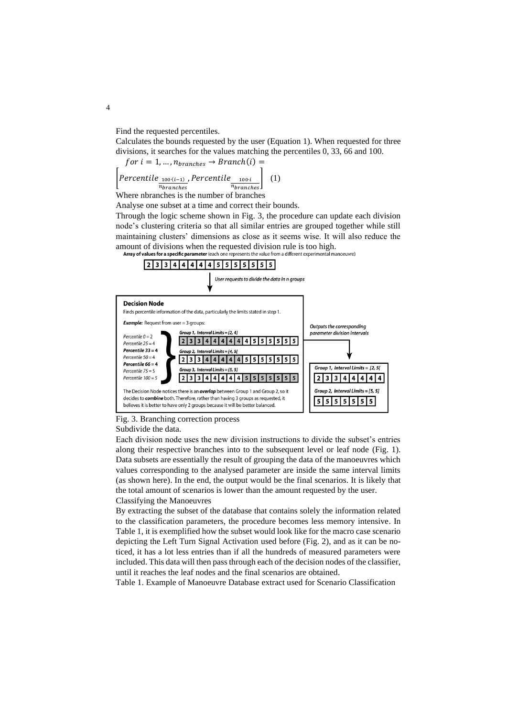Find the requested percentiles.

Calculates the bounds requested by the user (Equation 1). When requested for three divisions, it searches for the values matching the percentiles 0, 33, 66 and 100.

$$
for i = 1, ..., n_{branches} \rightarrow Branch(i) =
$$
\n
$$
\left[Percentile_{\frac{100 \cdot (i-1)}{n branches}}, Percentile_{\frac{100 \cdot i}{n branches}}\right] (1)
$$

Where nbranches is the number of branches

Analyse one subset at a time and correct their bounds.

Through the logic scheme shown in [Fig. 3,](#page-4-0) the procedure can update each division node's clustering criteria so that all similar entries are grouped together while still maintaining clusters' dimensions as close as it seems wise. It will also reduce the amount of divisions when the requested division rule is too high.<br>**Array of values for a specific parameter** (each one represents the value from a different experimental manoeuvre)



<span id="page-4-0"></span>Fig. 3. Branching correction process

#### Subdivide the data.

Each division node uses the new division instructions to divide the subset's entries along their respective branches into to the subsequent level or leaf node [\(Fig. 1\)](#page-2-0). Data subsets are essentially the result of grouping the data of the manoeuvres which values corresponding to the analysed parameter are inside the same interval limits (as shown here). In the end, the output would be the final scenarios. It is likely that the total amount of scenarios is lower than the amount requested by the user. Classifying the Manoeuvres

By extracting the subset of the database that contains solely the information related to the classification parameters, the procedure becomes less memory intensive. In Table 1, it is exemplified how the subset would look like for the macro case scenario depicting the Left Turn Signal Activation used before [\(Fig. 2\)](#page-3-0), and as it can be noticed, it has a lot less entries than if all the hundreds of measured parameters were included. This data will then pass through each of the decision nodes of the classifier, until it reaches the leaf nodes and the final scenarios are obtained.

Table 1. Example of Manoeuvre Database extract used for Scenario Classification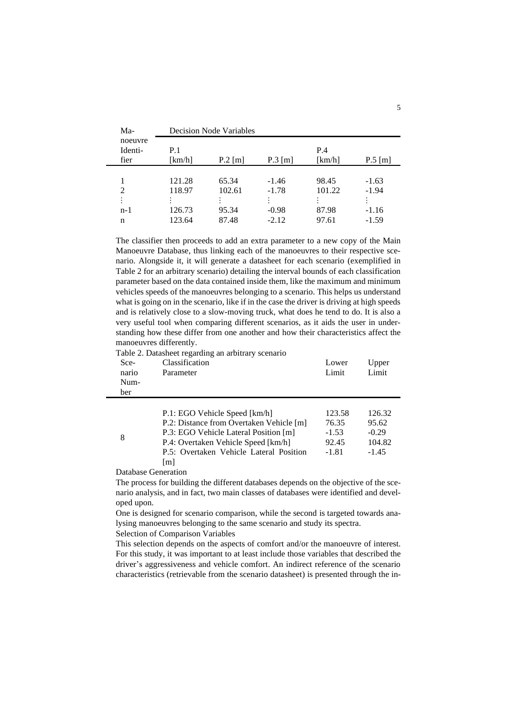| Ma-     | <b>Decision Node Variables</b> |           |           |        |             |  |  |
|---------|--------------------------------|-----------|-----------|--------|-------------|--|--|
| noeuvre |                                |           |           |        |             |  |  |
| Identi- | P.1                            |           |           | P.4    |             |  |  |
| fier    | [km/h]                         | $P.2$ [m] | $P.3$ [m] | [km/h] | $P.5 \,[m]$ |  |  |
|         |                                |           |           |        |             |  |  |
|         | 121.28                         | 65.34     | $-1.46$   | 98.45  | $-1.63$     |  |  |
| 2       | 118.97                         | 102.61    | $-1.78$   | 101.22 | $-1.94$     |  |  |
|         |                                |           |           |        |             |  |  |
| n-1     | 126.73                         | 95.34     | $-0.98$   | 87.98  | $-1.16$     |  |  |
| n       | 123.64                         | 87.48     | $-2.12$   | 97.61  | $-1.59$     |  |  |

The classifier then proceeds to add an extra parameter to a new copy of the Main Manoeuvre Database, thus linking each of the manoeuvres to their respective scenario. Alongside it, it will generate a datasheet for each scenario (exemplified in [Table 2](#page-5-0) for an arbitrary scenario) detailing the interval bounds of each classification parameter based on the data contained inside them, like the maximum and minimum vehicles speeds of the manoeuvres belonging to a scenario. This helps us understand what is going on in the scenario, like if in the case the driver is driving at high speeds and is relatively close to a slow-moving truck, what does he tend to do. It is also a very useful tool when comparing different scenarios, as it aids the user in understanding how these differ from one another and how their characteristics affect the manoeuvres differently.

<span id="page-5-0"></span>Table 2. Datasheet regarding an arbitrary scenario

| Sce-<br>nario<br>Num-<br>ber | Classification<br>Parameter                              | Lower<br>Limit              | Upper<br>Limit              |
|------------------------------|----------------------------------------------------------|-----------------------------|-----------------------------|
|                              | $\sim$ $\sim$ $\sim$ $\sim$<br>$\mathbf{M}$ $\mathbf{L}$ | $\sim$ $\sim$ $\sim$ $\sim$ | $\sim$ $\sim$ $\sim$ $\sim$ |

|   | P.1: EGO Vehicle Speed [km/h]            | 123.58  | 126.32  |
|---|------------------------------------------|---------|---------|
| 8 | P.2: Distance from Overtaken Vehicle [m] | 76.35   | 95.62   |
|   | P.3: EGO Vehicle Lateral Position [m]    | $-1.53$ | $-0.29$ |
|   | P.4: Overtaken Vehicle Speed [km/h]      | 92.45   | 104.82  |
|   | P.5: Overtaken Vehicle Lateral Position  | $-1.81$ | $-1.45$ |
|   | $\lceil m \rceil$                        |         |         |

Database Generation

The process for building the different databases depends on the objective of the scenario analysis, and in fact, two main classes of databases were identified and developed upon.

One is designed for scenario comparison, while the second is targeted towards analysing manoeuvres belonging to the same scenario and study its spectra.

Selection of Comparison Variables

This selection depends on the aspects of comfort and/or the manoeuvre of interest. For this study, it was important to at least include those variables that described the driver's aggressiveness and vehicle comfort. An indirect reference of the scenario characteristics (retrievable from the scenario datasheet) is presented through the in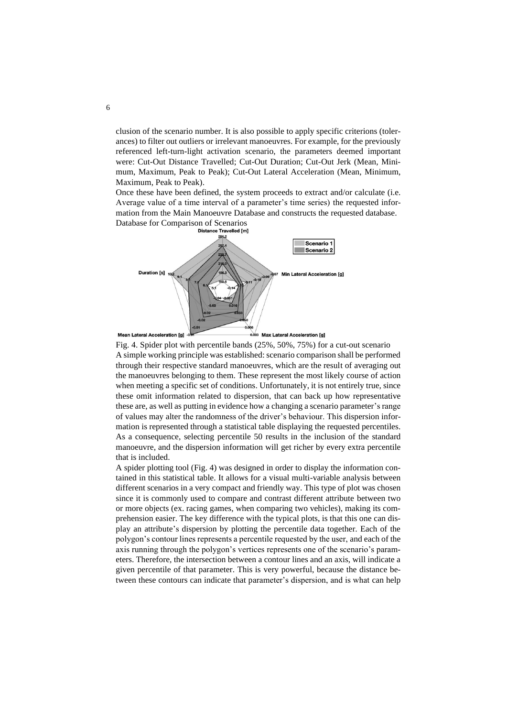clusion of the scenario number. It is also possible to apply specific criterions (tolerances) to filter out outliers or irrelevant manoeuvres. For example, for the previously referenced left-turn-light activation scenario, the parameters deemed important were: Cut-Out Distance Travelled; Cut-Out Duration; Cut-Out Jerk (Mean, Minimum, Maximum, Peak to Peak); Cut-Out Lateral Acceleration (Mean, Minimum, Maximum, Peak to Peak).

Once these have been defined, the system proceeds to extract and/or calculate (i.e. Average value of a time interval of a parameter's time series) the requested information from the Main Manoeuvre Database and constructs the requested database. Database for Comparison of Scenarios



n Lateral Acceleration [g]

Max Lateral Acceleration [g]

<span id="page-6-0"></span>Fig. 4. Spider plot with percentile bands (25%, 50%, 75%) for a cut-out scenario A simple working principle was established: scenario comparison shall be performed through their respective standard manoeuvres, which are the result of averaging out the manoeuvres belonging to them. These represent the most likely course of action when meeting a specific set of conditions. Unfortunately, it is not entirely true, since these omit information related to dispersion, that can back up how representative these are, as well as putting in evidence how a changing a scenario parameter's range of values may alter the randomness of the driver's behaviour. This dispersion information is represented through a statistical table displaying the requested percentiles. As a consequence, selecting percentile 50 results in the inclusion of the standard manoeuvre, and the dispersion information will get richer by every extra percentile that is included.

A spider plotting tool [\(Fig. 4\)](#page-6-0) was designed in order to display the information contained in this statistical table. It allows for a visual multi-variable analysis between different scenarios in a very compact and friendly way. This type of plot was chosen since it is commonly used to compare and contrast different attribute between two or more objects (ex. racing games, when comparing two vehicles), making its comprehension easier. The key difference with the typical plots, is that this one can display an attribute's dispersion by plotting the percentile data together. Each of the polygon's contour lines represents a percentile requested by the user, and each of the axis running through the polygon's vertices represents one of the scenario's parameters. Therefore, the intersection between a contour lines and an axis, will indicate a given percentile of that parameter. This is very powerful, because the distance between these contours can indicate that parameter's dispersion, and is what can help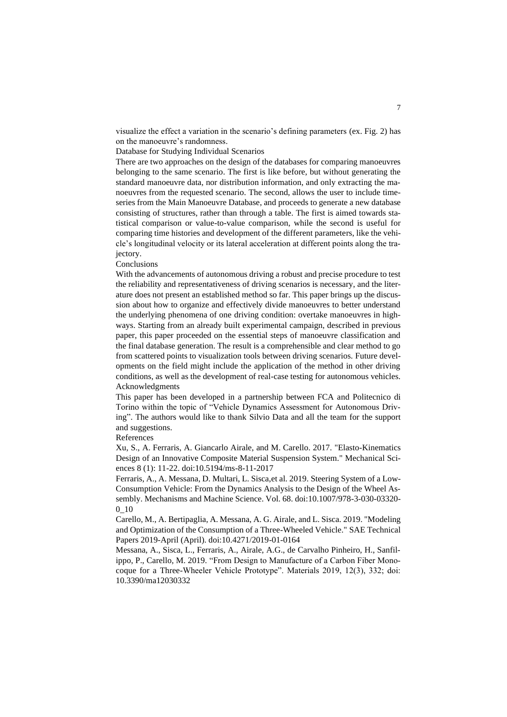visualize the effect a variation in the scenario's defining parameters (ex. [Fig. 2\)](#page-3-0) has on the manoeuvre's randomness.

Database for Studying Individual Scenarios

There are two approaches on the design of the databases for comparing manoeuvres belonging to the same scenario. The first is like before, but without generating the standard manoeuvre data, nor distribution information, and only extracting the manoeuvres from the requested scenario. The second, allows the user to include timeseries from the Main Manoeuvre Database, and proceeds to generate a new database consisting of structures, rather than through a table. The first is aimed towards statistical comparison or value-to-value comparison, while the second is useful for comparing time histories and development of the different parameters, like the vehicle's longitudinal velocity or its lateral acceleration at different points along the trajectory.

Conclusions

With the advancements of autonomous driving a robust and precise procedure to test the reliability and representativeness of driving scenarios is necessary, and the literature does not present an established method so far. This paper brings up the discussion about how to organize and effectively divide manoeuvres to better understand the underlying phenomena of one driving condition: overtake manoeuvres in highways. Starting from an already built experimental campaign, described in previous paper, this paper proceeded on the essential steps of manoeuvre classification and the final database generation. The result is a comprehensible and clear method to go from scattered points to visualization tools between driving scenarios. Future developments on the field might include the application of the method in other driving conditions, as well as the development of real-case testing for autonomous vehicles. Acknowledgments

This paper has been developed in a partnership between FCA and Politecnico di Torino within the topic of "Vehicle Dynamics Assessment for Autonomous Driving". The authors would like to thank Silvio Data and all the team for the support and suggestions.

References

Xu, S., A. Ferraris, A. Giancarlo Airale, and M. Carello. 2017. "Elasto-Kinematics Design of an Innovative Composite Material Suspension System." Mechanical Sciences 8 (1): 11-22. doi:10.5194/ms-8-11-2017

Ferraris, A., A. Messana, D. Multari, L. Sisca,et al. 2019. Steering System of a Low-Consumption Vehicle: From the Dynamics Analysis to the Design of the Wheel Assembly. Mechanisms and Machine Science. Vol. 68. doi:10.1007/978-3-030-03320- 0\_10

Carello, M., A. Bertipaglia, A. Messana, A. G. Airale, and L. Sisca. 2019. "Modeling and Optimization of the Consumption of a Three-Wheeled Vehicle." SAE Technical Papers 2019-April (April). doi:10.4271/2019-01-0164

Messana, A., Sisca, L., Ferraris, A., Airale, A.G., de Carvalho Pinheiro, H., Sanfilippo, P., Carello, M. 2019. "From Design to Manufacture of a Carbon Fiber Monocoque for a Three-Wheeler Vehicle Prototype". Materials 2019, 12(3), 332; doi: 10.3390/ma12030332